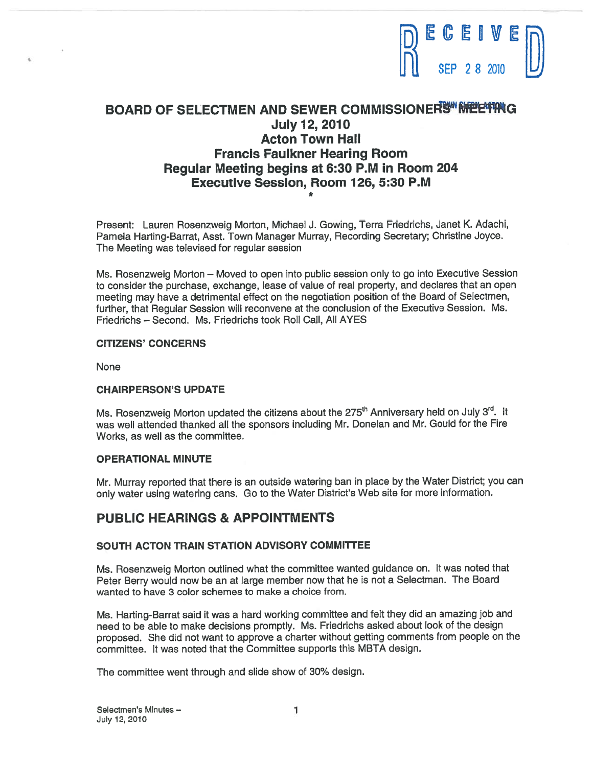

# BOARD OF SELECTMEN AND SEWER COMMISSIONER SWIMMERTING July 12, 2010 Acton Town Hall Francis Faulkner Hearing Room Regular Meeting begins at 6:30 P.M in Room 204 Executive Session, Room 126, 5:30 P.M

Present: Lauren Rosenzweig Morton, Michael J. Gowing, Terra Friedrichs, Janet K. Adachi, Pamela Harting-Barrat, Asst. Town Manager Murray, Recording Secretary; Christine Joyce. The Meeting was televised for regular session

Ms. Rosenzweig Morton — Moved to open into public session only to go into Executive Session to consider the purchase, exchange, lease of value of real property, and declares that an open meeting may have <sup>a</sup> detrimental effect on the negotiation position of the Board of Selectmen, further, that Regular Session will reconvene at the conclusion of the Executive Session. Ms. Friedrichs — Second. Ms. Friedrichs took Roll Call, All AYES

## CITIZENS' CONCERNS

None

# CHAIRPERSON'S UPDATE

Ms. Rosenzweig Morton updated the citizens about the 275<sup>th</sup> Anniversary held on July 3<sup>rd</sup>. It was well attended thanked all the sponsors including Mr. Donelan and Mr. Gould for the Fire Works, as well as the committee.

#### OPERATIONAL MINUTE

Mr. Murray reported that there is an outside watering ban in <sup>p</sup>lace by the Water District; you can only water using watering cans. Go to the Water District's Web site for more information.

# PUBLIC HEARINGS & APPOINTMENTS

#### SOUTH ACTON TRAIN STATION ADVISORY COMMITTEE

Ms. Rosenzweig Morton outlined what the committee wanted guidance on. It was noted that Peter Berry would now be an at large member now that he is not <sup>a</sup> Selectman. The Board wanted to have 3 color schemes to make <sup>a</sup> choice from.

Ms. Harting-Barrat said it was <sup>a</sup> hard working committee and felt they did an amazing job and need to be able to make decisions promptly. Ms. Friedrichs asked about look of the design proposed. She did not want to approve <sup>a</sup> charter without getting comments from people on the committee. It was noted that the Committee supports this MBTA design.

The committee went through and slide show of 30% design.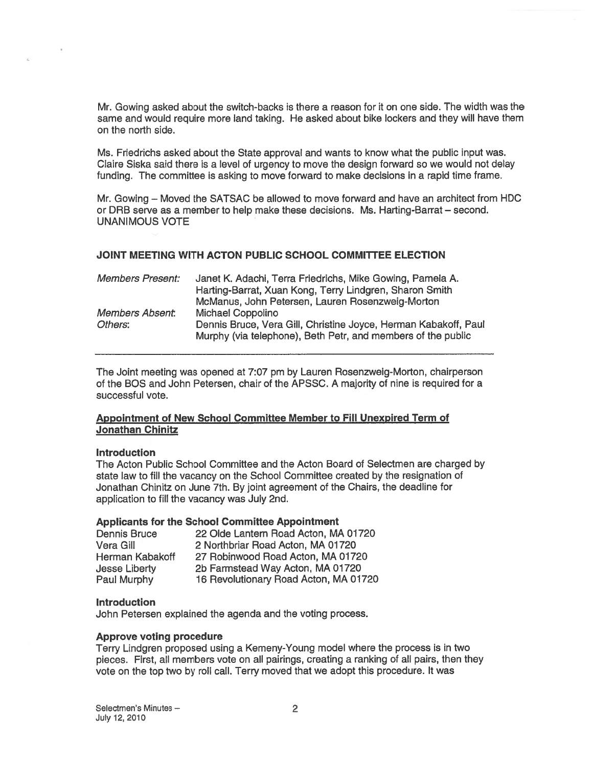Mr. Gowing asked about the switch-backs is there <sup>a</sup> reason for it on one side. The width was the same and would require more land taking. He asked about bike lockers and they will have them on the north side.

Ms. Friedrichs asked about the State approval and wants to know what the public input was. Claire Siska said there is <sup>a</sup> level of urgency to move the design forward so we would not delay funding. The committee is asking to move forward to make decisions in <sup>a</sup> rapid time frame.

Mr. Gowing — Moved the SATSAC be allowed to move forward and have an architect from HDC or DRB serve as <sup>a</sup> member to help make these decisions. Ms. Harting-Barrat — second. UNANIMOUS VOTE

# JOINT MEETING WITH ACTON PUBLIC SCHOOL COMMITTEE ELECTION

| <b>Members Present:</b> | Janet K. Adachi, Terra Friedrichs, Mike Gowing, Pamela A.                                                                       |
|-------------------------|---------------------------------------------------------------------------------------------------------------------------------|
|                         | Harting-Barrat, Xuan Kong, Terry Lindgren, Sharon Smith                                                                         |
|                         | McManus, John Petersen, Lauren Rosenzweig-Morton                                                                                |
| Members Absent:         | <b>Michael Coppolino</b>                                                                                                        |
| Others:                 | Dennis Bruce, Vera Gill, Christine Joyce, Herman Kabakoff, Paul<br>Murphy (via telephone), Beth Petr, and members of the public |
|                         |                                                                                                                                 |

The Joint meeting was opened at 7:07 pm by Lauren Rosenzweig-Morton, chairperson of the BOS and John Petersen, chair of the APSSC. A majority of nine is required for <sup>a</sup> successful vote.

# Appointment of New School Committee Member to Fill Unexpired Term of Jonathan Chinitz

#### **Introduction**

The Acton Public School Committee and the Acton Board of Selectmen are charged by state law to fill the vacancy on the School Committee created by the resignation of Jonathan Chinitz on June 7th. By joint agreemen<sup>t</sup> of the Chairs, the deadline for application to fill the vacancy was July 2nd.

# Applicants for the School Committee Appointment

| <b>Dennis Bruce</b>  | 22 Olde Lantern Road Acton, MA 01720  |
|----------------------|---------------------------------------|
| Vera Gill            | 2 Northbriar Road Acton, MA 01720     |
| Herman Kabakoff      | 27 Robinwood Road Acton, MA 01720     |
| <b>Jesse Liberty</b> | 2b Farmstead Way Acton, MA 01720      |
| Paul Murphy          | 16 Revolutionary Road Acton, MA 01720 |

# **Introduction**

John Petersen explained the agenda and the voting process.

#### Approve voting procedure

Terry Lindgren proposed using <sup>a</sup> Kemeny-Young model where the process is in two pieces. First, all members vote on all pairings, creating <sup>a</sup> ranking of all pairs, then they vote on the top two by roll call. Terry moved that we adopt this procedure. It was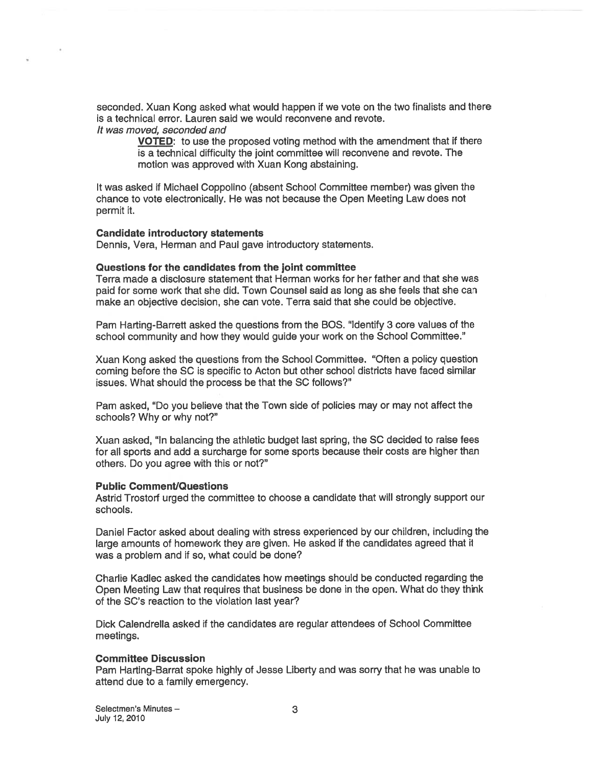seconded. Xuan Kong asked what would happen if we vote on the two finalists and there is <sup>a</sup> technical error. Lauren said we would reconvene and revote.

It was moved, seconded and

VOTED: to use the proposed voting method with the amendment that if there is <sup>a</sup> technical difficulty the joint committee will reconvene and revote. The motion was approved with Xuan Kong abstaining.

It was asked if Michael Coppolino (absent School Committee member) was given the chance to vote electronically. He was not because the Open Meeting Law does not permit it.

#### Candidate introductory statements

Dennis, Vera, Herman and Paul gave introductory statements.

#### Questions for the candidates from the joint committee

Terra made <sup>a</sup> disclosure statement that Herman works for her father and that she was paid for some work that she did. Town Counsel said as long as she feels that she can make an objective decision, she can vote. Terra said that she could be objective.

Pam Harting-Barrett asked the questions from the BOS. "Identify 3 core values of the school community and how they would guide your work on the School Committee."

Xuan Kong asked the questions from the School Committee. "Often <sup>a</sup> policy question coming before the SC is specific to Acton but other school districts have faced similar issues. What should the process be that the SC follows?"

Pam asked, "Do you believe that the Town side of policies may or may not affect the schools? Why or why not?"

Xuan asked, "In balancing the athletic budget last spring, the SC decided to raise fees for all sports and add a surcharge for some sports because their costs are higher than others. Do you agree with this or not?"

#### Public Comment/Questions

Astrid Trostorf urged the committee to choose <sup>a</sup> candidate that will strongly suppor<sup>t</sup> our schools.

Daniel Factor asked about dealing with stress experienced by our children, including the large amounts of homework they are <sup>g</sup>iven. He asked if the candidates agreed that it was <sup>a</sup> problem and if so, what could be done?

Charlie Kadlec asked the candidates how meetings should be conducted regarding the Open Meeting Law that requires that business be done in the open. What do they think of the SC's reaction to the violation last year?

Dick Calendrella asked if the candidates are regular attendees of School Committee meetings.

#### Committee Discussion

Pam Harting-Barrat spoke highly of Jesse Liberty and was sorry that he was unable to attend due to <sup>a</sup> family emergency.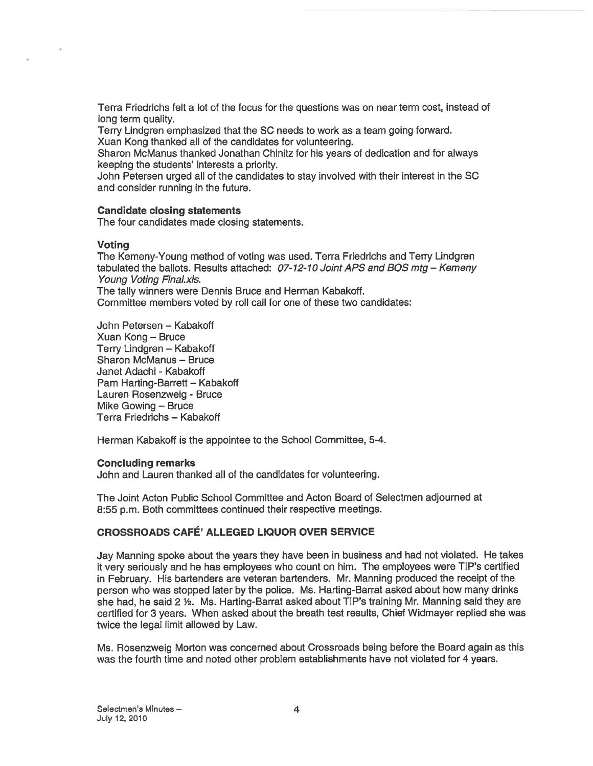Terra Friedrichs felt <sup>a</sup> lot of the focus for the questions was on near term cost, instead of long term quality.

Terry Lindgren emphasized that the SC needs to work as <sup>a</sup> team going forward.

Xuan Kong thanked all of the candidates for volunteering.

Sharon McManus thanked Jonathan Chinitz for his years of dedication and for always keeping the students' interests a priority.

John Petersen urged all of the candidates to stay involved with their interest in the SC and consider running in the future.

## Candidate closing statements

The four candidates made closing statements.

## Voting

The Kemeny-Young method of voting was used. Terra Friedrichs and Terry Lindgren tabulated the ballots. Results attached:  $07-12-10$  Joint APS and BQS mtg - Kemeny Young Voting Final.xls. The tally winners were Dennis Bruce and Herman Kabakoff.

Committee members voted by roll call for one of these two candidates:

John Petersen — Kabakoff Xuan Kong — Bruce Terry Lindgren — Kabakoff Sharon McManus — Bruce Janet Adachi - Kabakoff Pam Harting-Barrett — Kabakoff Lauren Rosenzweig - Bruce Mike Gowing — Bruce Terra Friedrichs — Kabakoff

Herman Kabakoff is the appointee to the School Committee, 5-4.

#### Concluding remarks

John and Lauren thanked all of the candidates for volunteering.

The Joint Acton Public School Committee and Acton Board of Selectmen adjourned at 8:55 p.m. Both committees continued their respective meetings.

# CROSSROADS CAFÉ' ALLEGED LIQUOR OVER SERVICE

Jay Manning spoke about the years they have been in business and had not violated. He takes it very seriously and he has employees who count on him. The employees were TIP's certified in February. His bartenders are veteran bartenders. Mr. Manning produced the receipt of the person who was stopped later by the police. Ms. Harting-Barrat asked about how many drinks she had, he said 2 1/2. Ms. Harting-Barrat asked about TIP's training Mr. Manning said they are certified for 3 years. When asked about the breath test results, Chief Widmayer replied she was twice the legal limit allowed by Law.

Ms. Rosenzweig Morton was concerned about Crossroads being before the Board again as this was the fourth time and noted other problem establishments have not violated for 4 years.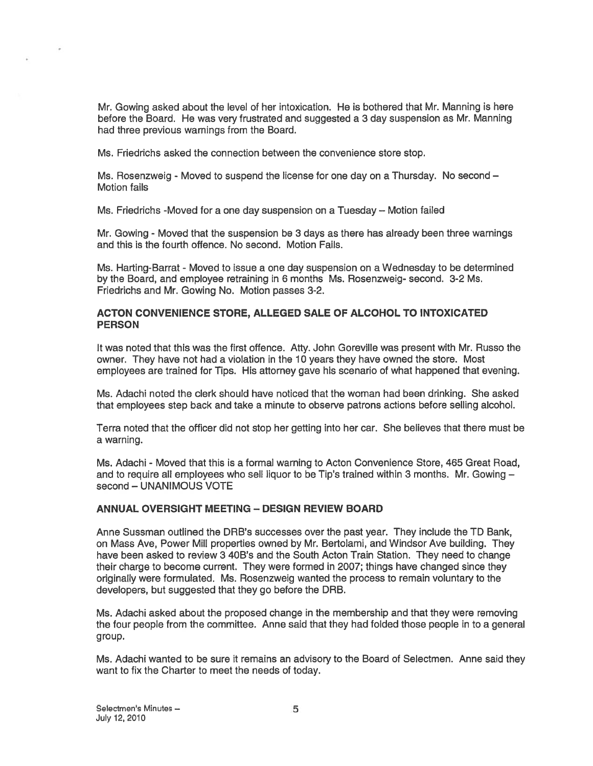Mr. Gowing asked about the level of her intoxication. He is bothered that Mr. Manning is here before the Board. He was very frustrated and suggested <sup>a</sup> 3 day suspension as Mr. Manning had three previous warnings from the Board.

Ms. Friedrichs asked the connection between the convenience store stop.

Ms. Rosenzweig - Moved to suspend the license for one day on <sup>a</sup> Thursday. No second — Motion fails

Ms. Friedrichs -Moved for <sup>a</sup> one day suspension on <sup>a</sup> Tuesday — Motion failed

Mr. Gowing - Moved that the suspension be 3 days as there has already been three warnings and this is the fourth offence. No second. Motion Fails.

Ms. Harting-Barrat - Moved to issue <sup>a</sup> one day suspension on <sup>a</sup> Wednesday to be determined by the Board, and employee retraining in 6 months Ms. Rosenzweig- second. 3-2 Ms. Friedrichs and Mr. Gowing No. Motion passes 3-2.

# ACTON CONVENIENCE STORE, ALLEGED SALE OF ALCOHOL TO INTOXICATED **PERSON**

It was noted that this was the first offence. Atty. John Goreville was presen<sup>t</sup> with Mr. Russo the owner. They have not had <sup>a</sup> violation in the 10 years they have owned the store. Most employees are trained for Tips. His attorney gave his scenario of what happened that evening.

Ms. Adachi noted the clerk should have noticed that the woman had been drinking. She asked that employees step back and take <sup>a</sup> minute to observe patrons actions before selling alcohol.

Terra noted that the officer did not stop her getting into her car. She believes that there must be <sup>a</sup> warning.

Ms. Adachi - Moved that this is <sup>a</sup> formal warning to Acton Convenience Store, 465 Great Road, and to require all employees who sell liquor to be Tip's trained within 3 months. Mr. Gowing second — UNANIMOUS VOTE

# ANNUAL OVERSIGHT MEETING -DESIGN REVIEW BOARD

Anne Sussman outlined the DRB's successes over the pas<sup>t</sup> year. They include the TD Bank, on Mass Aye, Power Mill properties owned by Mr. Bertolami, and Windsor Ave building. They have been asked to review 3 40B's and the South Acton Train Station. They need to change their charge to become current. They were formed in 2007; things have changed since they originally were formulated. Ms. Rosenzweig wanted the process to remain voluntary to the developers, but suggested that they go before the DRB.

Ms. Adachi asked about the proposed change in the membership and that they were removing the four people from the committee. Anne said that they had folded those people in to <sup>a</sup> general group.

Ms. Adachi wanted to be sure it remains an advisory to the Board of Selectmen. Anne said they want to fix the Charter to meet the needs of today.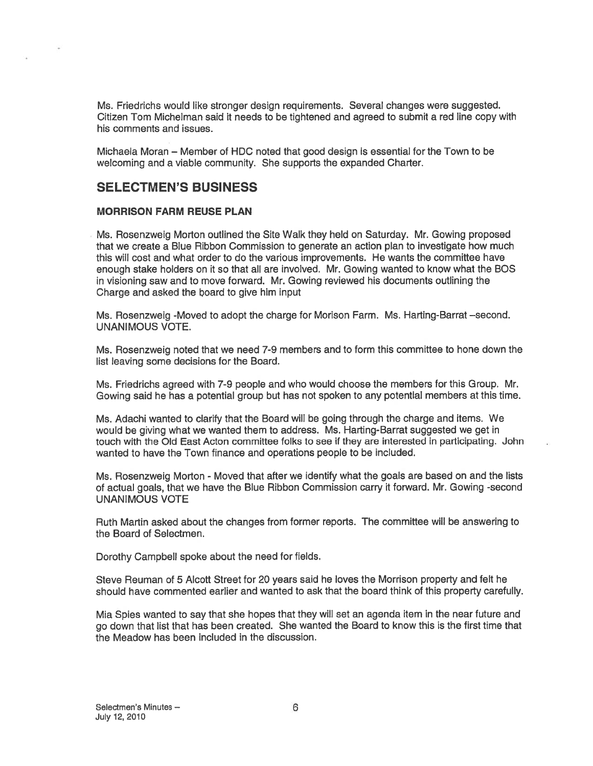Ms. Friedrichs would like stronger design requirements. Several changes were suggested. Citizen Tom Michelman said it needs to be tightened and agreed to submit <sup>a</sup> red line copy with his comments and issues.

Michaela Moran — Member of HDC noted that good design is essential for the Town to be welcoming and <sup>a</sup> viable community. She supports the expanded Charter.

# SELECTMEN'S BUSINESS

## MORRISON FARM REUSE PLAN

Ms. Rosenzweig Morton outlined the Site Walk they held on Saturday. Mr. Gowing proposed that we create <sup>a</sup> Blue Ribbon Commission to generate an action plan to investigate how much this will cost and what order to do the various improvements. He wants the committee have enough stake holders on it so that all are involved. Mr. Gowing wanted to know what the BOS in visioning saw and to move forward. Mr. Gowing reviewed his documents outlining the Charge and asked the board to give him input

Ms. Rosenzweig -Moved to adopt the charge for Morison Farm. Ms. Harting-Barrat —second. UNANIMOUS VOTE.

Ms. Rosenzweig noted that we need 7-9 members and to form this committee to hone down the list leaving some decisions for the Board.

Ms. Friedrichs agreed with 7-9 people and who would choose the members for this Group. Mr. Gowing said he has <sup>a</sup> potential group but has not spoken to any potential members at this time.

Ms. Adachi wanted to clarify that the Board will be going through the charge and items. We would be giving what we wanted them to address. Ms. Harting-Barrat suggested we ge<sup>t</sup> in touch with the Old East Acton committee folks to see if they are interested in participating. John wanted to have the Town finance and operations people to be included.

Ms. Rosenzweig Morton - Moved that after we identify what the goals are based on and the lists ot actual goals, that we have the Blue Ribbon Commission carry it forward. Mr. Gowing -second UNANIMOUS VOTE

Ruth Martin asked about the changes from former reports. The committee will be answering to the Board of Selectmen.

Dorothy Campbell spoke about the need for fields.

Steve Reuman of 5 Alcott Street for 20 years said he loves the Morrison property and felt he should have commented earlier and wanted to ask that the board think of this property carefully.

Mia Spies wanted to say that she hopes that they will set an agenda item in the near future and go down that list that has been created. She wanted the Board to know this is the first time that the Meadow has been included in the discussion.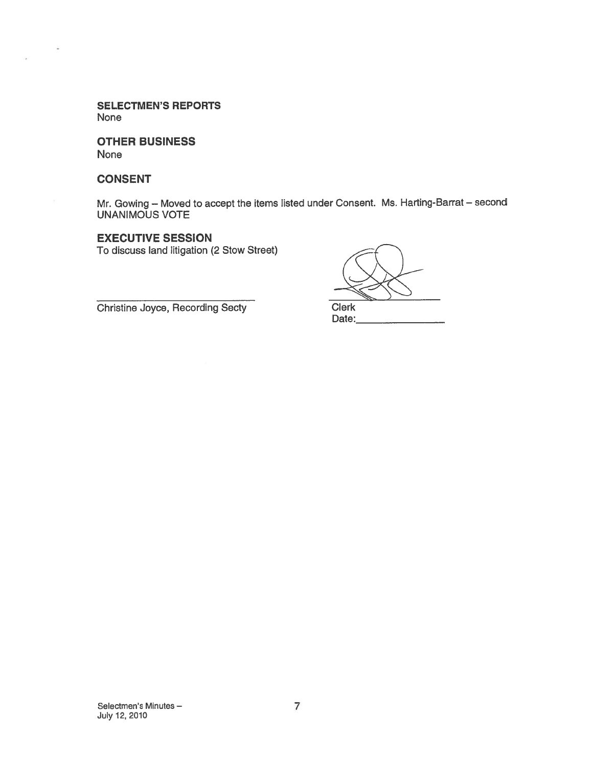SELECTMEN'S REPORTS None

OTHER BUSINESS None

#### CONSENT

 $\bar{ }$ 

Mr. Gowing — Moved to accep<sup>t</sup> the items listed under Consent. Ms. Harting-Barrat — second UNANIMOUS VOTE

# EXECUTIVE SESSION

To discuss land litigation (2 Stow Street)

Christine Joyce, Recording Secty Clerk

Date: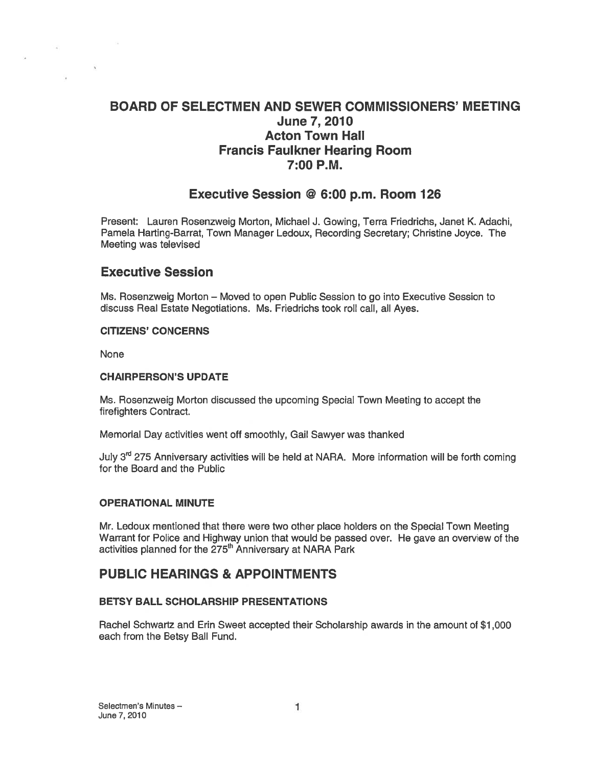# BOARD OF SELECTMEN AND SEWER COMMISSIONERS' MEETING June 7,2010 Acton Town Hall Francis Faulkner Hearing Room 7:00 P.M.

# Executive Session @ 6:00 p.m. Room 126

Present: Lauren Rosenzweig Morton, Michael J. Gowing, Terra Friedrichs, Janet K. Adachi, Pamela Harting-Barrat, Town Manager Ledoux, Recording Secretary; Christine Joyce. The Meeting was televised

# Executive Session

Ms. Rosenzweig Morton — Moved to open Public Session to go into Executive Session to discuss Real Estate Negotiations. Ms. Friedrichs took roll call, all Ayes.

## CITIZENS' CONCERNS

None

## CHAIRPERSON'S UPDATE

Ms. Rosenzweig Morton discussed the upcoming Special Town Meeting to accep<sup>t</sup> the firefighters Contract.

Memorial Day activities went off smoothly, Gail Sawyer was thanked

July  $3<sup>rd</sup>$  275 Anniversary activities will be held at NARA. More information will be forth coming for the Board and the Public

# OPERATIONAL MINUTE

Mr. Ledoux mentioned that there were two other place holders on the Special Town Meeting Warrant for Police and Highway union that would be passed over. He gave an overview of the activities planned for the 275<sup>th</sup> Anniversary at NARA Park

# PUBLIC HEARINGS & APPOINTMENTS

# BETSY BALL SCHOLARSHIP PRESENTATIONS

Rachel Schwartz and Erin Sweet accepted their Scholarship awards in the amount of \$1 ,000 each from the Betsy Ball Fund.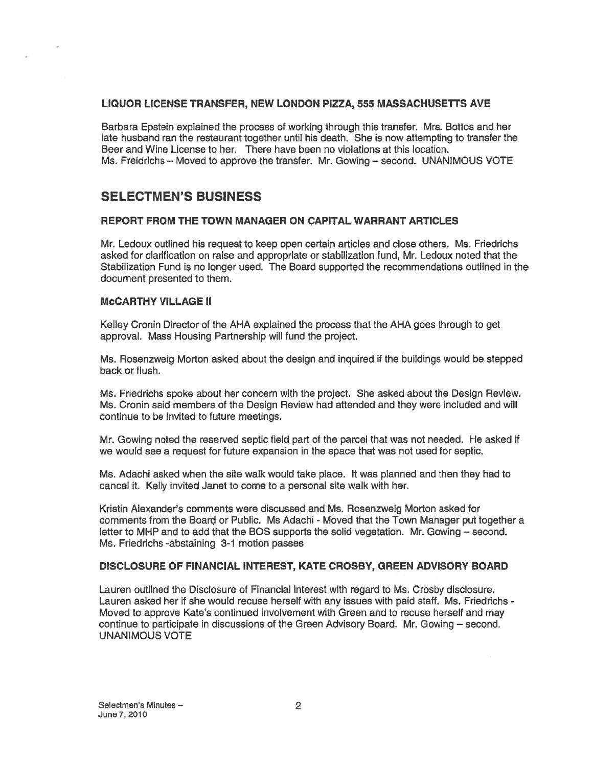## LIQUOR LICENSE TRANSFER, NEW LONDON PIZZA, 555 MASSACHUSETTS AVE

Barbara Epstein explained the process of working through this transfer. Mrs. Bottos and her late husband ran the restaurant together until his death. She is now attempting to transfer the Beer and Wine License to her. There have been no violations at this location. Ms. Freidrichs — Moved to approve the transfer. Mr. Gowing — second. UNANIMOUS VOTE

# SELECTMEN'S BUSINESS

# REPORT FROM THE TOWN MANAGER ON CAPITAL WARRANT ARTICLES

Mr. Ledoux outlined his reques<sup>t</sup> to keep open certain articles and close others. Ms. Friedrichs asked for clarification on raise and appropriate or stabilization fund, Mr. Ledoux noted that the Stabilization Fund is no longer used. The Board supported the recommendations outlined in the document presented to them.

## McCARTHY VILLAGE II

Kelley Cronin Director ot the AHA explained the process that the AHA goes through to ge<sup>t</sup> approval. Mass Housing Partnership will fund the project.

Ms. Rosenzweig Morton asked about the design and inquired if the buildings would be stepped back or flush.

Ms. Friedrichs spoke about her concern with the project. She asked about the Design Review. Ms. Cronin said members of the Design Review had attended and they were included and will continue to be invited to future meetings.

Mr. Gowing noted the reserved septic field par<sup>t</sup> of the parcel that was not needed. He asked if we would see <sup>a</sup> reques<sup>t</sup> for future expansion in the space that was not used for septic.

Ms. Adachi asked when the site walk would take place. It was planned and then they had to cancel it. Kelly invited Janet to come to <sup>a</sup> personal site walk with her.

Kristin Alexander's comments were discussed and Ms. Rosenzweig Morton asked for comments from the Board or Public. Ms Adachi - Moved that the Town Manager pu<sup>t</sup> together <sup>a</sup> letter to MHP and to add that the BOS supports the solid vegetation. Mr. Gowing — second. Ms. Friedrichs -abstaining 3-1 motion passes

# DISCLOSURE OF FINANCIAL INTEREST, KATE CROSBY, GREEN ADVISORY BOARD

Lauren outlined the Disclosure of Financial interest with regard to Ms. Crosby disclosure. Lauren asked her if she would recuse herself with any issues with paid staff. Ms. Friedrichs - Moved to approve Kate's continued involvement with Green and to recuse herself and may continue to participate in discussions of the Green Advisory Board. Mr. Gowing — second. UNANIMOUS VOTE